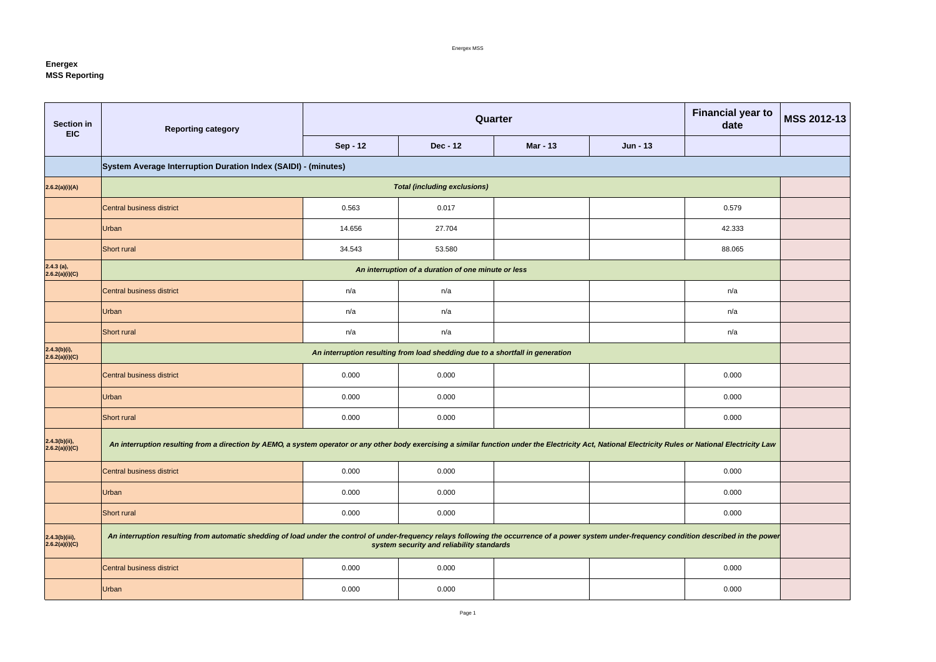Energex MSS

## **Energex MSS Reporting**

| Section in<br><b>EIC</b>           | <b>Reporting category</b>                                                                                                                                                                               |                 | Quarter                                             | <b>Financial year to</b><br>date | MSS 2012-13     |        |  |
|------------------------------------|---------------------------------------------------------------------------------------------------------------------------------------------------------------------------------------------------------|-----------------|-----------------------------------------------------|----------------------------------|-----------------|--------|--|
|                                    |                                                                                                                                                                                                         | <b>Sep - 12</b> | <b>Dec - 12</b>                                     | <b>Mar - 13</b>                  | <b>Jun - 13</b> |        |  |
|                                    | System Average Interruption Duration Index (SAIDI) - (minutes)                                                                                                                                          |                 |                                                     |                                  |                 |        |  |
| 2.6.2(a)(i)(A)                     |                                                                                                                                                                                                         |                 | <b>Total (including exclusions)</b>                 |                                  |                 |        |  |
|                                    | Central business district                                                                                                                                                                               | 0.563           | 0.017                                               |                                  |                 | 0.579  |  |
|                                    | Urban                                                                                                                                                                                                   | 14.656          | 27.704                                              |                                  | 42.333          |        |  |
|                                    | <b>Short rural</b>                                                                                                                                                                                      | 34.543          | 53.580                                              |                                  |                 | 88.065 |  |
| $2.4.3$ (a),<br>2.6.2(a)(i)(C)     |                                                                                                                                                                                                         |                 | An interruption of a duration of one minute or less |                                  |                 |        |  |
|                                    | Central business district                                                                                                                                                                               | n/a             | n/a                                                 |                                  |                 | n/a    |  |
|                                    | Urban                                                                                                                                                                                                   | n/a             | n/a                                                 |                                  |                 |        |  |
|                                    | Short rural                                                                                                                                                                                             | n/a             | n/a                                                 |                                  |                 | n/a    |  |
| 2.4.3(b)(i),<br>2.6.2(a)(i)(C)     | An interruption resulting from load shedding due to a shortfall in generation                                                                                                                           |                 |                                                     |                                  |                 |        |  |
|                                    | Central business district                                                                                                                                                                               | 0.000           | 0.000                                               |                                  |                 | 0.000  |  |
|                                    | Urban                                                                                                                                                                                                   | 0.000           | 0.000                                               |                                  |                 | 0.000  |  |
|                                    | Short rural                                                                                                                                                                                             | 0.000           | 0.000                                               |                                  |                 | 0.000  |  |
| $2.4.3(b)(ii)$ ,<br>2.6.2(a)(i)(C) | An interruption resulting from a direction by AEMO, a system operator or any other body exercising a similar function under the Electricity Act, National Electricity Rules or National Electricity Law |                 |                                                     |                                  |                 |        |  |
|                                    | Central business district                                                                                                                                                                               | 0.000           | 0.000                                               |                                  |                 | 0.000  |  |
|                                    | Urban                                                                                                                                                                                                   | 0.000           | 0.000                                               |                                  |                 | 0.000  |  |
|                                    | Short rural                                                                                                                                                                                             | 0.000           | 0.000                                               |                                  |                 | 0.000  |  |
| 2.4.3(b)(iii),<br>2.6.2(a)(i)(C)   | An interruption resulting from automatic shedding of load under the control of under-frequency relays following the occurrence of a power system under-frequency condition described in the power       |                 | system security and reliability standards           |                                  |                 |        |  |
|                                    | Central business district                                                                                                                                                                               | 0.000           | 0.000                                               |                                  |                 | 0.000  |  |
|                                    | Urban                                                                                                                                                                                                   | 0.000           | 0.000                                               |                                  |                 | 0.000  |  |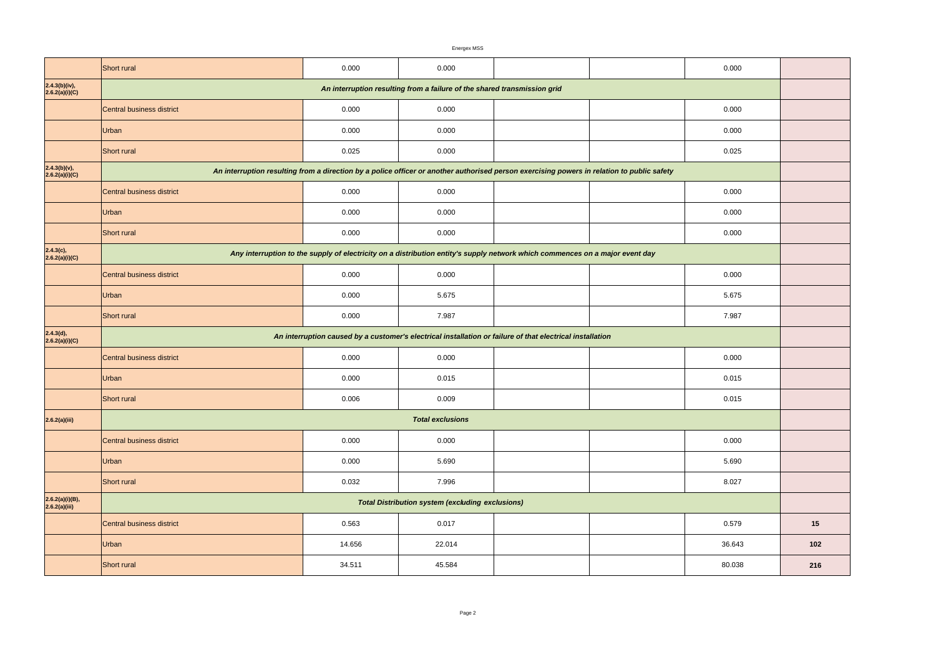|                                  | Energex MSS                                                                                                                  |                                                                                                                                            |                                                         |  |  |        |     |  |
|----------------------------------|------------------------------------------------------------------------------------------------------------------------------|--------------------------------------------------------------------------------------------------------------------------------------------|---------------------------------------------------------|--|--|--------|-----|--|
|                                  | <b>Short rural</b>                                                                                                           | 0.000                                                                                                                                      | 0.000                                                   |  |  | 0.000  |     |  |
| 2.4.3(b)(iv),<br>2.6.2(a)(i)(C)  | An interruption resulting from a failure of the shared transmission grid                                                     |                                                                                                                                            |                                                         |  |  |        |     |  |
|                                  | <b>Central business district</b>                                                                                             | 0.000                                                                                                                                      | 0.000                                                   |  |  | 0.000  |     |  |
|                                  | Urban                                                                                                                        | 0.000                                                                                                                                      | 0.000                                                   |  |  | 0.000  |     |  |
|                                  | Short rural                                                                                                                  | 0.025                                                                                                                                      | 0.000                                                   |  |  | 0.025  |     |  |
| 2.4.3(b)(v),<br>2.6.2(a)(i)(C)   |                                                                                                                              | An interruption resulting from a direction by a police officer or another authorised person exercising powers in relation to public safety |                                                         |  |  |        |     |  |
|                                  | Central business district                                                                                                    | 0.000                                                                                                                                      | 0.000                                                   |  |  | 0.000  |     |  |
|                                  | Urban                                                                                                                        | 0.000                                                                                                                                      | 0.000                                                   |  |  | 0.000  |     |  |
|                                  | Short rural                                                                                                                  | 0.000                                                                                                                                      | 0.000                                                   |  |  | 0.000  |     |  |
| 2.4.3(c),<br>2.6.2(a)(i)(C)      | Any interruption to the supply of electricity on a distribution entity's supply network which commences on a major event day |                                                                                                                                            |                                                         |  |  |        |     |  |
|                                  | Central business district                                                                                                    | 0.000                                                                                                                                      | 0.000                                                   |  |  | 0.000  |     |  |
|                                  | Urban                                                                                                                        | 0.000                                                                                                                                      | 5.675                                                   |  |  | 5.675  |     |  |
|                                  | Short rural                                                                                                                  | 0.000                                                                                                                                      | 7.987                                                   |  |  | 7.987  |     |  |
| 2.4.3(d),<br>2.6.2(a)(i)(C)      |                                                                                                                              | An interruption caused by a customer's electrical installation or failure of that electrical installation                                  |                                                         |  |  |        |     |  |
|                                  | Central business district                                                                                                    | 0.000                                                                                                                                      | 0.000                                                   |  |  | 0.000  |     |  |
|                                  | Urban                                                                                                                        | 0.000                                                                                                                                      | 0.015                                                   |  |  | 0.015  |     |  |
|                                  | Short rural                                                                                                                  | 0.006                                                                                                                                      | 0.009                                                   |  |  | 0.015  |     |  |
| 2.6.2(a)(iii)                    |                                                                                                                              |                                                                                                                                            | <b>Total exclusions</b>                                 |  |  |        |     |  |
|                                  | Central business district                                                                                                    | 0.000                                                                                                                                      | 0.000                                                   |  |  | 0.000  |     |  |
|                                  | Urban                                                                                                                        | 0.000                                                                                                                                      | 5.690                                                   |  |  | 5.690  |     |  |
|                                  | Short rural                                                                                                                  | 0.032                                                                                                                                      | 7.996                                                   |  |  | 8.027  |     |  |
| 2.6.2(a)(i)(B),<br>2.6.2(a)(iii) |                                                                                                                              |                                                                                                                                            | <b>Total Distribution system (excluding exclusions)</b> |  |  |        |     |  |
|                                  | Central business district                                                                                                    | 0.563                                                                                                                                      | 0.017                                                   |  |  | 0.579  | 15  |  |
|                                  | Urban                                                                                                                        | 14.656                                                                                                                                     | 22.014                                                  |  |  | 36.643 | 102 |  |
|                                  | Short rural                                                                                                                  | 34.511                                                                                                                                     | 45.584                                                  |  |  | 80.038 | 216 |  |

| 0.000  |     |
|--------|-----|
|        |     |
| 0.000  |     |
| 0.000  |     |
| 0.025  |     |
|        |     |
| 0.000  |     |
| 0.000  |     |
| 0.000  |     |
|        |     |
| 0.000  |     |
| 5.675  |     |
| 7.987  |     |
|        |     |
| 0.000  |     |
| 0.015  |     |
| 0.015  |     |
|        |     |
| 0.000  |     |
| 5.690  |     |
| 8.027  |     |
|        |     |
| 0.579  | 15  |
| 36.643 | 102 |
| 80.038 | 216 |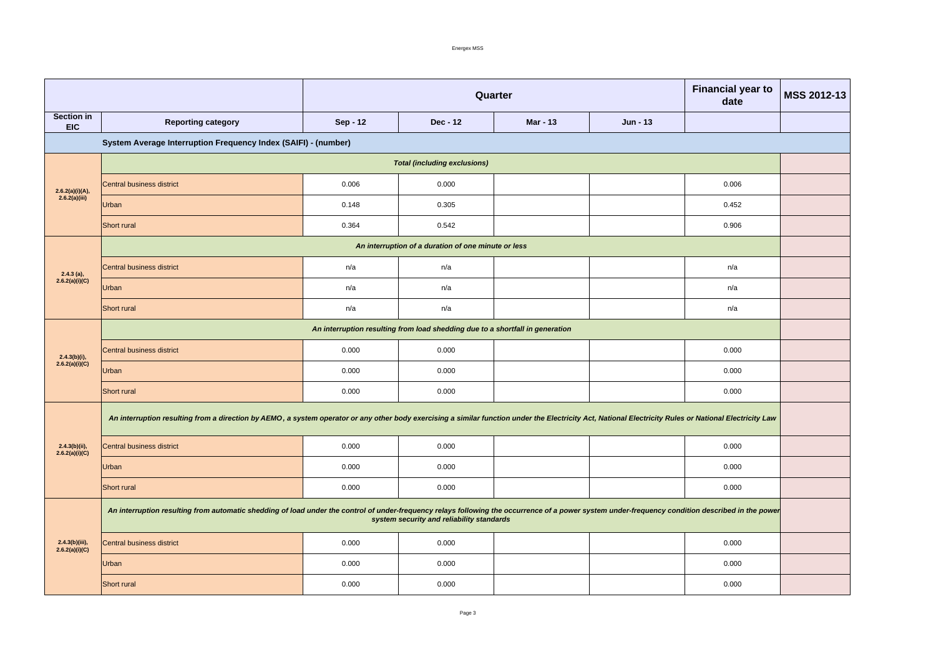Energex MSS

|                                     |                                                                                                                                                                                                                                                | <b>Financial year to</b><br><b>MSS 2012-13</b><br>Quarter<br>date |                                                     |                 |                 |       |  |  |
|-------------------------------------|------------------------------------------------------------------------------------------------------------------------------------------------------------------------------------------------------------------------------------------------|-------------------------------------------------------------------|-----------------------------------------------------|-----------------|-----------------|-------|--|--|
| <b>Section in</b><br><b>EIC</b>     | <b>Reporting category</b>                                                                                                                                                                                                                      | <b>Sep - 12</b>                                                   | <b>Dec - 12</b>                                     | <b>Mar - 13</b> | <b>Jun - 13</b> |       |  |  |
|                                     | System Average Interruption Frequency Index (SAIFI) - (number)                                                                                                                                                                                 |                                                                   |                                                     |                 |                 |       |  |  |
|                                     | <b>Total (including exclusions)</b>                                                                                                                                                                                                            |                                                                   |                                                     |                 |                 |       |  |  |
| 2.6.2(a)(i)(A),                     | Central business district                                                                                                                                                                                                                      | 0.006                                                             | 0.000                                               |                 |                 | 0.006 |  |  |
| 2.6.2(a)(iii)                       | Urban                                                                                                                                                                                                                                          | 0.148                                                             | 0.305                                               |                 |                 | 0.452 |  |  |
|                                     | Short rural                                                                                                                                                                                                                                    | 0.364                                                             | 0.542                                               |                 |                 | 0.906 |  |  |
|                                     |                                                                                                                                                                                                                                                |                                                                   | An interruption of a duration of one minute or less |                 |                 |       |  |  |
| $2.4.3$ (a),                        | Central business district                                                                                                                                                                                                                      | n/a                                                               | n/a                                                 |                 |                 | n/a   |  |  |
| 2.6.2(a)(i)(C)                      | Urban                                                                                                                                                                                                                                          | n/a                                                               | n/a                                                 |                 |                 | n/a   |  |  |
|                                     | Short rural                                                                                                                                                                                                                                    | n/a                                                               | n/a                                                 |                 |                 | n/a   |  |  |
|                                     | An interruption resulting from load shedding due to a shortfall in generation                                                                                                                                                                  |                                                                   |                                                     |                 |                 |       |  |  |
| $2.4.3(b)(i)$ ,                     | Central business district                                                                                                                                                                                                                      | 0.000                                                             | 0.000                                               |                 |                 | 0.000 |  |  |
| 2.6.2(a)(i)(C)                      | Urban                                                                                                                                                                                                                                          | 0.000                                                             | 0.000                                               |                 |                 | 0.000 |  |  |
|                                     | Short rural                                                                                                                                                                                                                                    | 0.000                                                             | 0.000                                               |                 |                 | 0.000 |  |  |
|                                     | An interruption resulting from a direction by AEMO, a system operator or any other body exercising a similar function under the Electricity Act, National Electricity Rules or National Electricity Law                                        |                                                                   |                                                     |                 |                 |       |  |  |
| $2.4.3(b)(ii),$<br>$2.6.2(a)(i)(C)$ | Central business district                                                                                                                                                                                                                      | 0.000                                                             | 0.000                                               |                 |                 | 0.000 |  |  |
|                                     | Urban                                                                                                                                                                                                                                          | 0.000                                                             | 0.000                                               |                 |                 | 0.000 |  |  |
|                                     | Short rural                                                                                                                                                                                                                                    | 0.000                                                             | 0.000                                               |                 |                 | 0.000 |  |  |
| $2.4.3(b)(iii)$ ,<br>2.6.2(a)(i)(C) | An interruption resulting from automatic shedding of load under the control of under-frequency relays following the occurrence of a power system under-frequency condition described in the power<br>system security and reliability standards |                                                                   |                                                     |                 |                 |       |  |  |
|                                     | Central business district                                                                                                                                                                                                                      | 0.000                                                             | 0.000                                               |                 |                 | 0.000 |  |  |
|                                     | Urban                                                                                                                                                                                                                                          | 0.000                                                             | 0.000                                               |                 |                 | 0.000 |  |  |
|                                     | Short rural                                                                                                                                                                                                                                    | 0.000                                                             | 0.000                                               |                 |                 | 0.000 |  |  |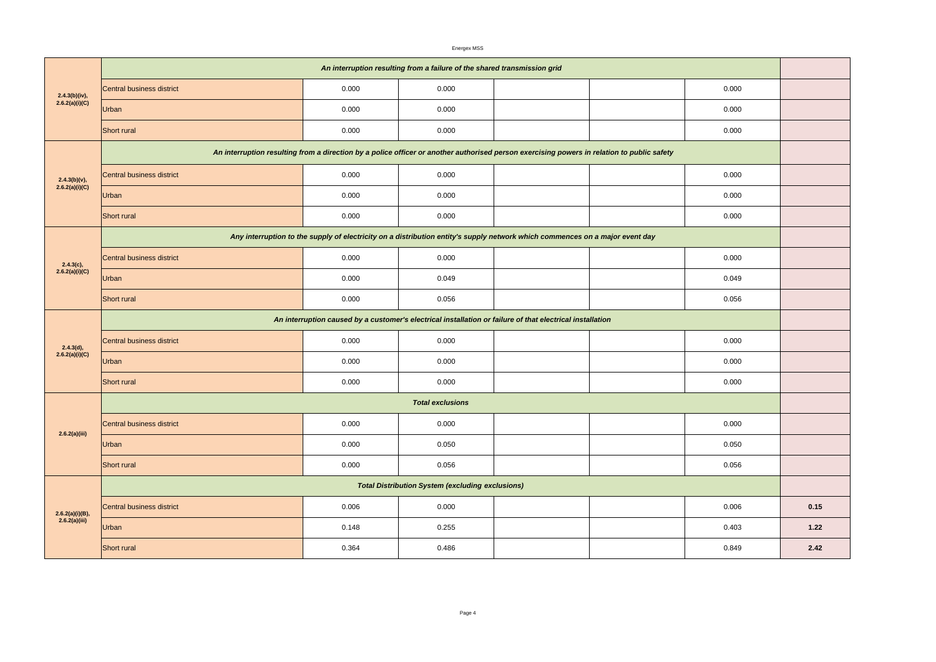|                                  |                                                                                                                                            |       | Energex MSS                                             |  |  |       |      |  |  |
|----------------------------------|--------------------------------------------------------------------------------------------------------------------------------------------|-------|---------------------------------------------------------|--|--|-------|------|--|--|
|                                  | An interruption resulting from a failure of the shared transmission grid                                                                   |       |                                                         |  |  |       |      |  |  |
| 2.4.3(b)(iv),<br>2.6.2(a)(i)(C)  | Central business district                                                                                                                  | 0.000 | 0.000                                                   |  |  | 0.000 |      |  |  |
|                                  | Urban                                                                                                                                      | 0.000 | 0.000                                                   |  |  | 0.000 |      |  |  |
|                                  | Short rural                                                                                                                                | 0.000 | 0.000                                                   |  |  | 0.000 |      |  |  |
|                                  | An interruption resulting from a direction by a police officer or another authorised person exercising powers in relation to public safety |       |                                                         |  |  |       |      |  |  |
| $2.4.3(b)(v)$ ,                  | Central business district                                                                                                                  | 0.000 | 0.000                                                   |  |  | 0.000 |      |  |  |
| 2.6.2(a)(i)(C)                   | <b>Urban</b>                                                                                                                               | 0.000 | 0.000                                                   |  |  | 0.000 |      |  |  |
|                                  | Short rural                                                                                                                                | 0.000 | 0.000                                                   |  |  | 0.000 |      |  |  |
|                                  | Any interruption to the supply of electricity on a distribution entity's supply network which commences on a major event day               |       |                                                         |  |  |       |      |  |  |
| $2.4.3(c)$ ,                     | Central business district                                                                                                                  | 0.000 | 0.000                                                   |  |  | 0.000 |      |  |  |
| 2.6.2(a)(i)(C)                   | Urban                                                                                                                                      | 0.000 | 0.049                                                   |  |  | 0.049 |      |  |  |
|                                  | <b>Short</b> rural                                                                                                                         | 0.000 | 0.056                                                   |  |  | 0.056 |      |  |  |
|                                  | An interruption caused by a customer's electrical installation or failure of that electrical installation                                  |       |                                                         |  |  |       |      |  |  |
| 2.4.3(d),                        | Central business district                                                                                                                  | 0.000 | 0.000                                                   |  |  | 0.000 |      |  |  |
| 2.6.2(a)(i)(C)                   | <b>Urban</b>                                                                                                                               | 0.000 | 0.000                                                   |  |  | 0.000 |      |  |  |
|                                  | Short rural                                                                                                                                | 0.000 | 0.000                                                   |  |  | 0.000 |      |  |  |
|                                  | <b>Total exclusions</b>                                                                                                                    |       |                                                         |  |  |       |      |  |  |
| 2.6.2(a)(iii)                    | Central business district                                                                                                                  | 0.000 | 0.000                                                   |  |  | 0.000 |      |  |  |
|                                  | Urban                                                                                                                                      | 0.000 | 0.050                                                   |  |  | 0.050 |      |  |  |
|                                  | Short rural                                                                                                                                | 0.000 | 0.056                                                   |  |  | 0.056 |      |  |  |
|                                  |                                                                                                                                            |       | <b>Total Distribution System (excluding exclusions)</b> |  |  |       |      |  |  |
| 2.6.2(a)(i)(B),<br>2.6.2(a)(iii) | Central business district                                                                                                                  | 0.006 | 0.000                                                   |  |  | 0.006 | 0.15 |  |  |
|                                  | Urban                                                                                                                                      | 0.148 | 0.255                                                   |  |  | 0.403 | 1.22 |  |  |
|                                  | Short rural                                                                                                                                | 0.364 | 0.486                                                   |  |  | 0.849 | 2.42 |  |  |

| 0.000 |      |
|-------|------|
| 0.000 |      |
| 0.000 |      |
|       |      |
| 0.000 |      |
| 0.000 |      |
| 0.000 |      |
|       |      |
| 0.000 |      |
| 0.049 |      |
| 0.056 |      |
|       |      |
| 0.000 |      |
| 0.000 |      |
| 0.000 |      |
|       |      |
| 0.000 |      |
| 0.050 |      |
| 0.056 |      |
|       |      |
| 0.006 | 0.15 |
| 0.403 | 1.22 |
| 0.849 | 2.42 |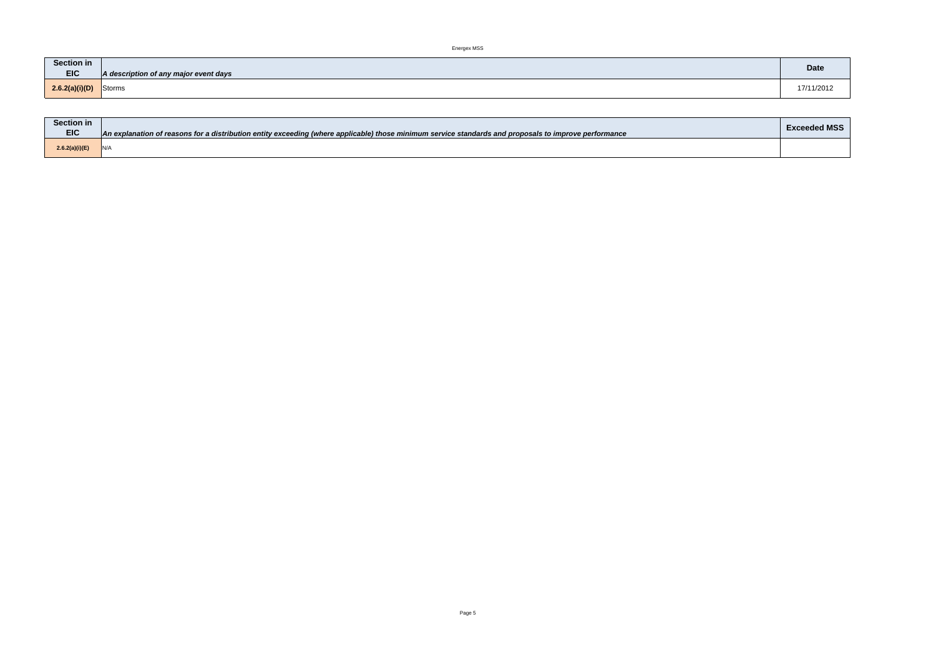Energex MSS

| <b>Section in</b>                                   | <b>Date</b> |
|-----------------------------------------------------|-------------|
| <b>EIC</b><br>A description of any major event days |             |
| Storms<br>2.6.2(a)(i)(D)                            | 17/11/2012  |

П

| <b>Section in</b> |                                                                                                                                                       | <b>Exceeded MSS</b> |
|-------------------|-------------------------------------------------------------------------------------------------------------------------------------------------------|---------------------|
| <b>EIC</b>        | An explanation of reasons for a distribution entity exceeding (where applicable) those minimum service standards and proposals to improve performance |                     |
| 2.6.2(a)(i)(E)    | \ IN/A                                                                                                                                                |                     |